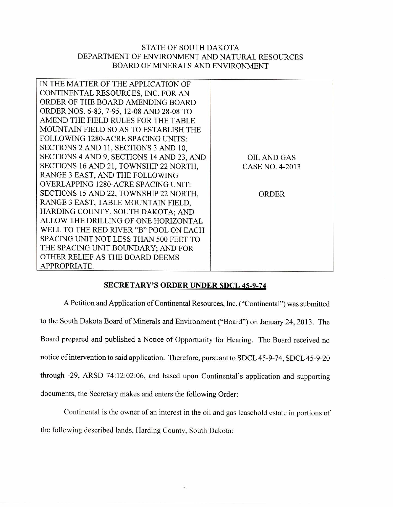## STATE OF SOUTH DAKOTA DEPARTMENT OF ENVIRONMENT AND NATURAL RESOURCES BOARD OF MINERALS AND ENVIRONMENT

| IN THE MATTER OF THE APPLICATION OF        |                    |
|--------------------------------------------|--------------------|
| CONTINENTAL RESOURCES, INC. FOR AN         |                    |
| ORDER OF THE BOARD AMENDING BOARD          |                    |
| ORDER NOS. 6-83, 7-95, 12-08 AND 28-08 TO  |                    |
| AMEND THE FIELD RULES FOR THE TABLE        |                    |
| MOUNTAIN FIELD SO AS TO ESTABLISH THE      |                    |
| FOLLOWING 1280-ACRE SPACING UNITS:         |                    |
| SECTIONS 2 AND 11, SECTIONS 3 AND 10,      |                    |
| SECTIONS 4 AND 9, SECTIONS 14 AND 23, AND  | <b>OIL AND GAS</b> |
| SECTIONS 16 AND 21, TOWNSHIP 22 NORTH,     | CASE NO. 4-2013    |
| RANGE 3 EAST, AND THE FOLLOWING            |                    |
| <b>OVERLAPPING 1280-ACRE SPACING UNIT:</b> |                    |
| SECTIONS 15 AND 22, TOWNSHIP 22 NORTH,     | ORDER              |
| RANGE 3 EAST, TABLE MOUNTAIN FIELD,        |                    |
| HARDING COUNTY, SOUTH DAKOTA; AND          |                    |
| ALLOW THE DRILLING OF ONE HORIZONTAL       |                    |
| WELL TO THE RED RIVER "B" POOL ON EACH     |                    |
| SPACING UNIT NOT LESS THAN 500 FEET TO     |                    |
| THE SPACING UNIT BOUNDARY; AND FOR         |                    |
| OTHER RELIEF AS THE BOARD DEEMS            |                    |
| APPROPRIATE.                               |                    |

## SECRETARY'S ORDER UNDER SDCL 45-9-74

A Petition and Application of Continental Resources, Inc. ("Continental") was submitted to the South Dakota Board of Minerals and Environment ("Board") on January 24, 2013. The Board prepared and published a Notice of Opportunity for Hearing. The Board received no notice of intervention to said application. Therefore, pursuant to SDCL 45-9-74, SDCL 45-9-20 through -29, ARSD 74:12:02:06, and based upon Continental's application and supporting documents, the Secretary makes and enters the following Order:

Continental is the owner of an interest in the oil and gas leasehold estate in portions of the following described lands, Harding County, South Dakota: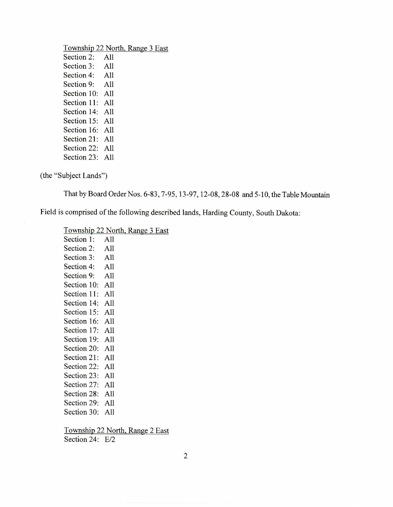## Township 22 North, Range 3 East Section 2: All Section 3: All Section 4: All Section 9: All Section 10: All Section 11: All Section 14: All Section 15: All Section 16: All Section 21: All Section 22: All Section 23: All

(the "Subject Lands")

That by Board Order Nos. 6-83, 7-95, 13-97, 12-08, 28-08 and 5-10, the Table Mountain

Field is comprised of the following described lands, Harding County, South Dakota:

Township 22 North, Range 3 East

| Section 1: All  |  |
|-----------------|--|
| Section 2: All  |  |
| Section 3: All  |  |
| Section 4: All  |  |
| Section 9: All  |  |
| Section 10: All |  |
| Section 11: All |  |
| Section 14: All |  |
| Section 15: All |  |
| Section 16: All |  |
| Section 17: All |  |
| Section 19: All |  |
| Section 20: All |  |
| Section 21: All |  |
| Section 22: All |  |
| Section 23: All |  |
| Section 27: All |  |
| Section 28: All |  |
| Section 29: All |  |
| Section 30: All |  |
|                 |  |

Township 22 North, Range 2 East Section 24: E/2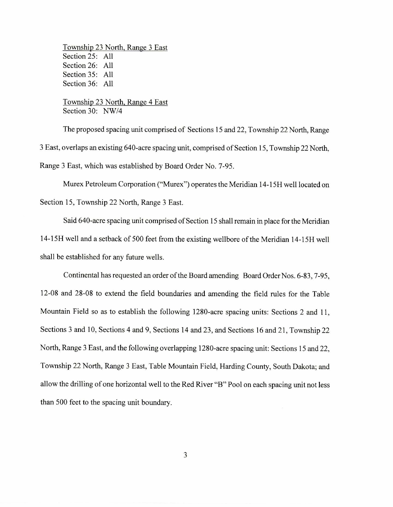Township 23 North, Range 3 East Section 25: All Section 26: All Section 35: All Section 36: All

Township 23 North, Range 4 East Section 30: NW/4

The proposed spacing unit comprised of Sections 15 and 22, Township 22 North, Range 3 East, overlaps an existing 640-acre spacing unit, comprised of Section 15, Township 22 North, Range 3 East, which was established by Board Order No. 7-95.

Murex Petroleum Corporation ("Murex") operates the Meridian 14-15H well located on

Section 15, Township 22 North, Range 3 East.

Said 640-acre spacing unit comprised of Section 15 shall remain in place for the Meridian 14-15H well and a setback of 500 feet from the existing wellbore of the Meridian 14-15H well shall be established for any future wells.

Continental has requested an order of the Board amending Board Order Nos. 6-83, 7-95, 12-08 and 28-08 to extend the field boundaries and amending the field rules for the Table Mountain Field so as to establish the following 1280-acre spacing units: Sections 2 and 11, Sections 3 and 10, Sections 4 and 9, Sections 14 and 23, and Sections 16 and 21, Township 22 North, Range 3 East, and the following overlapping 1280-acre spacing unit: Sections 15 and 22, Township 22 North, Range 3 East, Table Mountain Field, Harding County, South Dakota; and allow the drilling of one horizontal well to the Red River "B" Pool on each spacing unit not less than 500 feet to the spacing unit boundary.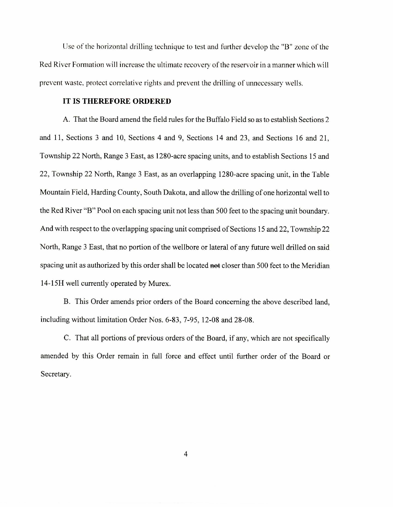Use of the horizontal drilling technique to test and further develop the "B" zone of the Red River Formation will increase the ultimate recovery of the reservoir in a manner which will prevent waste, protect correlative rights and prevent the drilling of unnecessary wells.

## **IT IS THEREFORE ORDERED**

A. That the Board amend the field rules for the Buffalo Field so as to establish Sections 2 and 11, Sections 3 and 10, Sections 4 and 9, Sections 14 and 23, and Sections 16 and 21, Township 22 North, Range 3 East, as 1280-acre spacing units, and to establish Sections 15 and 22, Township 22 North, Range 3 East, as an overlapping 1280-acre spacing unit, in the Table Mountain Field, Harding County, South Dakota, and allow the drilling of one horizontal well to the Red River "B" Pool on each spacing unit not less than 500 feet to the spacing unit boundary. And with respect to the overlapping spacing unit comprised of Sections 15 and 22, Township 22 North, Range 3 East, that no portion of the wellbore or lateral of any future well drilled on said spacing unit as authorized by this order shall be located net closer than 500 feet to the Meridian 14-15H well currently operated by Murex.

B. This Order amends prior orders of the Board concerning the above described land, including without limitation Order Nos. 6-83, 7-95, 12-08 and 28-08.

C. That all portions of previous orders of the Board, if any, which are not specifically amended by this Order remain in full force and effect until further order of the Board or Secretary.